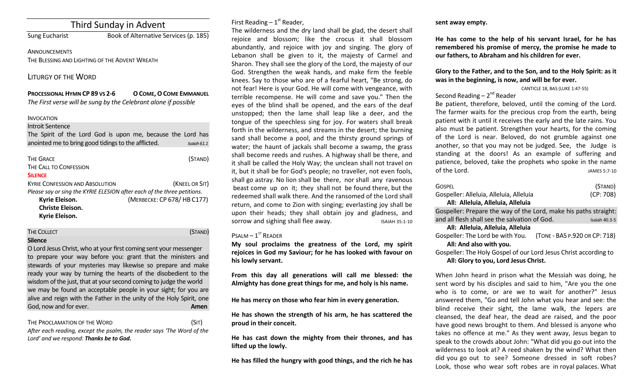# Third Sunday in Advent

Sung Eucharist Book of Alternative Services (p. 185)

**ANNOUNCEMENTS** THE BLESSING AND LIGHTING OF THE ADVENT WREATH

## LITURGY OF THE WORD

#### **PROCESSIONAL HYMN CP 89 VS 2-6 OCOME,OCOME EMMANUEL** *The First verse will be sung by the Celebrant alone if possible*

#### INVOCATION

## Introit Sentence

|                                                     |  |  |  | The Spirit of the Lord God is upon me, because the Lord has |  |             |
|-----------------------------------------------------|--|--|--|-------------------------------------------------------------|--|-------------|
| anointed me to bring good tidings to the afflicted. |  |  |  |                                                             |  | Isaiah 61.1 |
|                                                     |  |  |  |                                                             |  |             |

| <b>THE GRACE</b>                                                        | (STAND)                    |
|-------------------------------------------------------------------------|----------------------------|
| THE CALL TO CONFESSION                                                  |                            |
| <b>SILENCE</b>                                                          |                            |
| <b>KYRIE CONFESSION AND ABSOLUTION</b>                                  | (KNEEL OR SIT)             |
| Please say or sing the KYRIE ELESION after each of the three petitions. |                            |
| Kyrie Eleison.                                                          | (MERBECKE: CP 678/HB C177) |
| <b>Christe Eleison.</b>                                                 |                            |
| Kyrie Eleison.                                                          |                            |

## THE COLLECT **THE COLLECT COLLECT COLLECT COLLECT COLLECT COLLECT COLLECT COLLECT COLLECT COLLECT**

## **Silence**

O Lord Jesus Christ, who at your first coming sent your messenger to prepare your way before you: grant that the ministers and stewards of your mysteries may likewise so prepare and make ready your way by turning the hearts of the disobedient to the wisdom of the just, that at your second coming to judge the world we may be found an acceptable people in your sight; for you are alive and reign with the Father in the unity of the Holy Spirit, one God, now and for ever. **Amen** 

## THE PROCLAMATION OF THE WORD (SIT)

*After each reading, except the psalm, the reader says 'The Word of the Lord' and we respond: Thanks be to God.* 

First Reading  $-1<sup>st</sup>$  Reader,

The wilderness and the dry land shall be glad, the desert shall rejoice and blossom; like the crocus it shall blossom abundantly, and rejoice with joy and singing. The glory of Lebanon shall be given to it, the majesty of Carmel and Sharon. They shall see the glory of the Lord, the majesty of our God. Strengthen the weak hands, and make firm the feeble knees. Say to those who are of a fearful heart, "Be strong, do not fear! Here is your God. He will come with vengeance, with terrible recompense. He will come and save you." Then the eyes of the blind shall be opened, and the ears of the deaf unstopped; then the lame shall leap like a deer, and the tongue of the speechless sing for joy. For waters shall break forth in the wilderness, and streams in the desert; the burning sand shall become a pool, and the thirsty ground springs of water; the haunt of jackals shall become a swamp, the grass shall become reeds and rushes. A highway shall be there, and it shall be called the Holy Way; the unclean shall not travel on it, but it shall be for God's people; no traveller, not even fools, shall go astray. No lion shall be there, nor shall any ravenous beast come up on it; they shall not be found there, but the redeemed shall walk there. And the ransomed of the Lord shall return, and come to Zion with singing; everlasting joy shall be upon their heads; they shall obtain joy and gladness, and sorrow and sighing shall flee away. ISAIAH 35:1-10

## $P$ SALM  $-1$ <sup>ST</sup> READER

**My soul proclaims the greatness of the Lord, my spirit rejoices in God my Saviour; for he has looked with favour on his lowly servant.** 

**From this day all generations will call me blessed: the Almighty has done great things for me, and holy is his name.** 

**He has mercy on those who fear him in every generation.** 

**He has shown the strength of his arm, he has scattered the proud in their conceit.** 

**He has cast down the mighty from their thrones, and has lifted up the lowly.** 

**He has filled the hungry with good things, and the rich he has** 

**sent away empty.** 

**He has come to the help of his servant Israel, for he has remembered his promise of mercy, the promise he made to our fathers, to Abraham and his children for ever.** 

## **Glory to the Father, and to the Son, and to the Holy Spirit: as it was in the beginning, is now, and will be for ever.**

### CANTICLE 18, BAS (LUKE 1:47-55)

## Second Reading – 2<sup>nd</sup> Reader

Be patient, therefore, beloved, until the coming of the Lord. The farmer waits for the precious crop from the earth, being patient with it until it receives the early and the late rains. You also must be patient. Strengthen your hearts, for the coming of the Lord is near. Beloved, do not grumble against one another, so that you may not be judged. See, the Judge is standing at the doors! As an example of suffering and patience, beloved, take the prophets who spoke in the name of the Lord. The Lord of the Lord.

| <b>GOSPEL</b>                                                    |                               | (STAND)           |
|------------------------------------------------------------------|-------------------------------|-------------------|
| Gospeller: Alleluia, Alleluia, Alleluia                          |                               | (CP: 708)         |
| All: Alleluia, Alleluia, Alleluia                                |                               |                   |
| Gospeller: Prepare the way of the Lord, make his paths straight: |                               |                   |
| and all flesh shall see the salvation of God.                    |                               | Isaiah $40.3 - 5$ |
| All: Alleluia, Alleluia, Alleluia                                |                               |                   |
| Gospeller: The Lord be with You.                                 | (TONE - BAS P.920 OR CP: 718) |                   |
| All: And also with you.                                          |                               |                   |

Gospeller: The Holy Gospel of our Lord Jesus Christ according to **All: Glory to you, Lord Jesus Christ.**

When John heard in prison what the Messiah was doing, he sent word by his disciples and said to him, "Are you the one who is to come, or are we to wait for another?" Jesus answered them, "Go and tell John what you hear and see: the blind receive their sight, the lame walk, the lepers are cleansed, the deaf hear, the dead are raised, and the poor have good news brought to them. And blessed is anyone who takes no offence at me." As they went away, Jesus began to speak to the crowds about John: "What did you go out into the wilderness to look at? A reed shaken by the wind? What then did you go out to see? Someone dressed in soft robes? Look, those who wear soft robes are in royal palaces. What